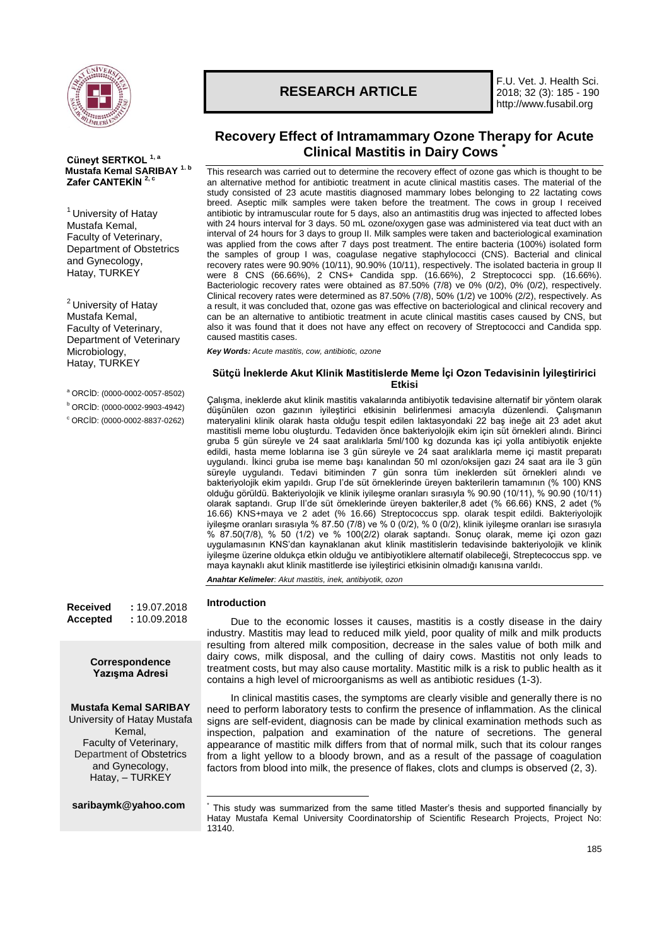

**Cüneyt SERTKOL 1, a Mustafa Kemal SARIBAY 1. b Zafer CANTEKİN 2, c**

<sup>1</sup> University of Hatay Mustafa Kemal, Faculty of Veterinary, Department of Obstetrics and Gynecology, Hatay, TURKEY

<sup>2</sup> University of Hatay Mustafa Kemal, Faculty of Veterinary, Department of Veterinary Microbiology, Hatay, TURKEY

<sup>a</sup> ORCİD: (0000-0002-0057-8502)

<sup>b</sup> ORCİD: (0000-0002-9903-4942)

<sup>c</sup> ORCİD: (0000-0002-8837-0262)

**Received :** 19.07.2018 **Accepted :** 10.09.2018

> **Correspondence Yazışma Adresi**

## **Mustafa Kemal SARIBAY**

University of Hatay Mustafa Kemal, Faculty of Veterinary, Department of Obstetrics and Gynecology, Hatay, – TURKEY

**[saribaymk@yahoo.com](mailto:saribaymk@yahoo.com)**

# **RESEARCH ARTICLE**

F.U. Vet. J. Health Sci. 2018; 32 (3): 185 - 190 http://www.fusabil.org

## **Recovery Effect of Intramammary Ozone Therapy for Acute Clinical Mastitis in Dairy Cows \***

This research was carried out to determine the recovery effect of ozone gas which is thought to be an alternative method for antibiotic treatment in acute clinical mastitis cases. The material of the study consisted of 23 acute mastitis diagnosed mammary lobes belonging to 22 lactating cows breed. Aseptic milk samples were taken before the treatment. The cows in group I received antibiotic by intramuscular route for 5 days, also an antimastitis drug was injected to affected lobes with 24 hours interval for 3 days. 50 mL ozone/oxygen gase was administered via teat duct with an interval of 24 hours for 3 days to group II. Milk samples were taken and bacteriological examination was applied from the cows after 7 days post treatment. The entire bacteria (100%) isolated form the samples of group I was, coagulase negative staphylococci (CNS). Bacterial and clinical recovery rates were 90.90% (10/11), 90.90% (10/11), respectively. The isolated bacteria in group II were 8 CNS (66.66%), 2 CNS+ Candida spp. (16.66%), 2 Streptococci spp. (16.66%). Bacteriologic recovery rates were obtained as 87.50% (7/8) ve 0% (0/2), 0% (0/2), respectively. Clinical recovery rates were determined as 87.50% (7/8), 50% (1/2) ve 100% (2/2), respectively. As a result, it was concluded that, ozone gas was effective on bacteriological and clinical recovery and can be an alternative to antibiotic treatment in acute clinical mastitis cases caused by CNS, but also it was found that it does not have any effect on recovery of Streptococci and Candida spp. caused mastitis cases.

*Key Words: Acute mastitis, cow, antibiotic, ozone*

## **Sütçü İneklerde Akut Klinik Mastitislerde Meme İçi Ozon Tedavisinin İyileştiririci Etkisi**

Çalışma, ineklerde akut klinik mastitis vakalarında antibiyotik tedavisine alternatif bir yöntem olarak düşünülen ozon gazının iyileştirici etkisinin belirlenmesi amacıyla düzenlendi. Çalışmanın materyalini klinik olarak hasta olduğu tespit edilen laktasyondaki 22 baş ineğe ait 23 adet akut mastitisli meme lobu oluşturdu. Tedaviden önce bakteriyolojik ekim için süt örnekleri alındı. Birinci gruba 5 gün süreyle ve 24 saat aralıklarla 5ml/100 kg dozunda kas içi yolla antibiyotik enjekte edildi, hasta meme loblarına ise 3 gün süreyle ve 24 saat aralıklarla meme içi mastit preparatı uygulandı. İkinci gruba ise meme başı kanalından 50 ml ozon/oksijen gazı 24 saat ara ile 3 gün süreyle uygulandı. Tedavi bitiminden 7 gün sonra tüm ineklerden süt örnekleri alındı ve bakteriyolojik ekim yapıldı. Grup I'de süt örneklerinde üreyen bakterilerin tamamının (% 100) KNS olduğu görüldü. Bakteriyolojik ve klinik iyileşme oranları sırasıyla % 90.90 (10/11), % 90.90 (10/11) olarak saptandı. Grup II'de süt örneklerinde üreyen bakteriler,8 adet (% 66.66) KNS, 2 adet (% 16.66) KNS+maya ve 2 adet (% 16.66) Streptococcus spp. olarak tespit edildi. Bakteriyolojik iyileşme oranları sırasıyla % 87.50 (7/8) ve % 0 (0/2), % 0 (0/2), klinik iyileşme oranları ise sırasıyla % 87.50(7/8), % 50 (1/2) ve % 100(2/2) olarak saptandı. Sonuç olarak, meme içi ozon gazı uygulamasının KNS'dan kaynaklanan akut klinik mastitislerin tedavisinde bakteriyolojik ve klinik iyileşme üzerine oldukça etkin olduğu ve antibiyotiklere alternatif olabileceği, Streptecoccus spp. ve maya kaynaklı akut klinik mastitlerde ise iyileştirici etkisinin olmadığı kanısına varıldı.

*Anahtar Kelimeler: Akut mastitis, inek, antibiyotik, ozon*

### **Introduction**

\*

Due to the economic losses it causes, mastitis is a costly disease in the dairy industry. Mastitis may lead to reduced milk yield, poor quality of milk and milk products resulting from altered milk composition, decrease in the sales value of both milk and dairy cows, milk disposal, and the culling of dairy cows. Mastitis not only leads to treatment costs, but may also cause mortality. Mastitic milk is a risk to public health as it contains a high level of microorganisms as well as antibiotic residues (1-3).

In clinical mastitis cases, the symptoms are clearly visible and generally there is no need to perform laboratory tests to confirm the presence of inflammation. As the clinical signs are self-evident, diagnosis can be made by clinical examination methods such as inspection, palpation and examination of the nature of secretions. The general appearance of mastitic milk differs from that of normal milk, such that its colour ranges from a light yellow to a bloody brown, and as a result of the passage of coagulation factors from blood into milk, the presence of flakes, clots and clumps is observed (2, 3).

<sup>1</sup> This study was summarized from the same titled Master's thesis and supported financially by Hatay Mustafa Kemal University Coordinatorship of Scientific Research Projects, Project No: 13140.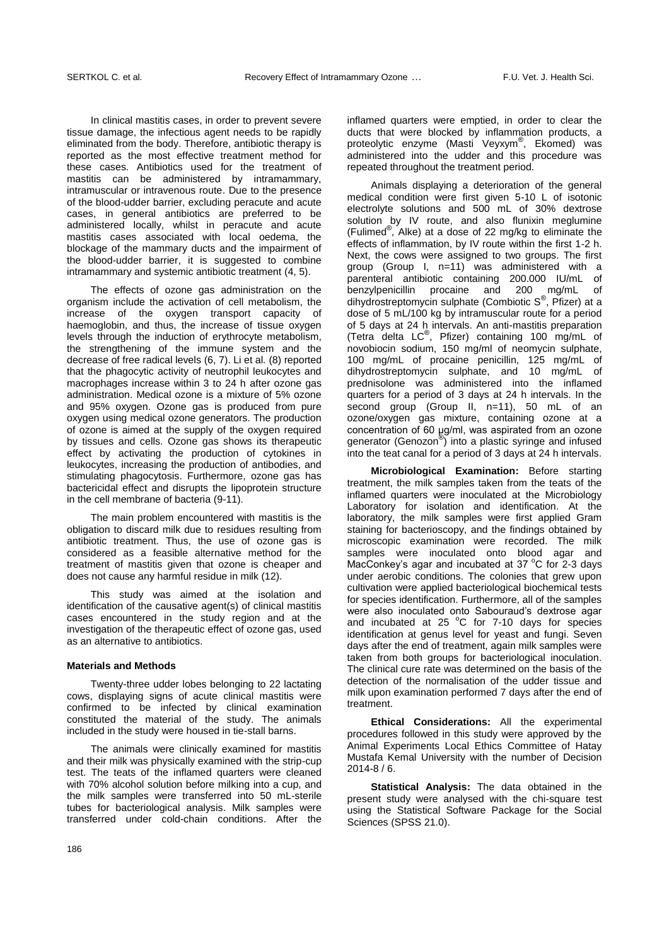In clinical mastitis cases, in order to prevent severe tissue damage, the infectious agent needs to be rapidly eliminated from the body. Therefore, antibiotic therapy is reported as the most effective treatment method for these cases. Antibiotics used for the treatment of mastitis can be administered by intramammary, intramuscular or intravenous route. Due to the presence of the blood-udder barrier, excluding peracute and acute cases, in general antibiotics are preferred to be administered locally, whilst in peracute and acute mastitis cases associated with local oedema, the blockage of the mammary ducts and the impairment of the blood-udder barrier, it is suggested to combine intramammary and systemic antibiotic treatment (4, 5).

The effects of ozone gas administration on the organism include the activation of cell metabolism, the increase of the oxygen transport capacity of haemoglobin, and thus, the increase of tissue oxygen levels through the induction of erythrocyte metabolism, the strengthening of the immune system and the decrease of free radical levels (6, 7). Li et al*.* (8) reported that the phagocytic activity of neutrophil leukocytes and macrophages increase within 3 to 24 h after ozone gas administration. Medical ozone is a mixture of 5% ozone and 95% oxygen. Ozone gas is produced from pure oxygen using medical ozone generators. The production of ozone is aimed at the supply of the oxygen required by tissues and cells. Ozone gas shows its therapeutic effect by activating the production of cytokines in leukocytes, increasing the production of antibodies, and stimulating phagocytosis. Furthermore, ozone gas has bactericidal effect and disrupts the lipoprotein structure in the cell membrane of bacteria (9-11).

The main problem encountered with mastitis is the obligation to discard milk due to residues resulting from antibiotic treatment. Thus, the use of ozone gas is considered as a feasible alternative method for the treatment of mastitis given that ozone is cheaper and does not cause any harmful residue in milk (12).

This study was aimed at the isolation and identification of the causative agent(s) of clinical mastitis cases encountered in the study region and at the investigation of the therapeutic effect of ozone gas, used as an alternative to antibiotics.

#### **Materials and Methods**

Twenty-three udder lobes belonging to 22 lactating cows, displaying signs of acute clinical mastitis were confirmed to be infected by clinical examination constituted the material of the study. The animals included in the study were housed in tie-stall barns.

The animals were clinically examined for mastitis and their milk was physically examined with the strip-cup test. The teats of the inflamed quarters were cleaned with 70% alcohol solution before milking into a cup, and the milk samples were transferred into 50 mL-sterile tubes for bacteriological analysis. Milk samples were transferred under cold-chain conditions. After the inflamed quarters were emptied, in order to clear the ducts that were blocked by inflammation products, a proteolytic enzyme (Masti Veyxym® , Ekomed) was administered into the udder and this procedure was repeated throughout the treatment period.

Animals displaying a deterioration of the general medical condition were first given 5-10 L of isotonic electrolyte solutions and 500 mL of 30% dextrose solution by IV route, and also flunixin meglumine (Fulimed® , Alke) at a dose of 22 mg/kg to eliminate the effects of inflammation, by IV route within the first 1-2 h. Next, the cows were assigned to two groups. The first group (Group I, n=11) was administered with a parenteral antibiotic containing 200.000 IU/mL of benzylpenicillin procaine and 200 mg/mL of dihydrostreptomycin sulphate (Combiotic S® , Pfizer) at a dose of 5 mL/100 kg by intramuscular route for a period of 5 days at 24 h intervals. An anti-mastitis preparation (Tetra delta LC® , Pfizer) containing 100 mg/mL of novobiocin sodium, 150 mg/ml of neomycin sulphate, 100 mg/mL of procaine penicillin, 125 mg/mL of dihydrostreptomycin sulphate, and 10 mg/mL of prednisolone was administered into the inflamed quarters for a period of 3 days at 24 h intervals. In the second group (Group II, n=11), 50 mL of an ozone/oxygen gas mixture, containing ozone at a concentration of 60 μg/ml, was aspirated from an ozone generator (Genozon® ) into a plastic syringe and infused into the teat canal for a period of 3 days at 24 h intervals.

**Microbiological Examination:** Before starting treatment, the milk samples taken from the teats of the inflamed quarters were inoculated at the Microbiology Laboratory for isolation and identification. At the laboratory, the milk samples were first applied Gram staining for bacterioscopy, and the findings obtained by microscopic examination were recorded. The milk samples were inoculated onto blood agar and MacConkey's agar and incubated at 37 $\degree$ C for 2-3 days under aerobic conditions. The colonies that grew upon cultivation were applied bacteriological biochemical tests for species identification. Furthermore, all of the samples were also inoculated onto Sabouraud's dextrose agar and incubated at  $25^{\circ}$ C for 7-10 days for species identification at genus level for yeast and fungi. Seven days after the end of treatment, again milk samples were taken from both groups for bacteriological inoculation. The clinical cure rate was determined on the basis of the detection of the normalisation of the udder tissue and milk upon examination performed 7 days after the end of treatment.

**Ethical Considerations:** All the experimental procedures followed in this study were approved by the Animal Experiments Local Ethics Committee of Hatay Mustafa Kemal University with the number of Decision 2014-8 / 6.

**Statistical Analysis:** The data obtained in the present study were analysed with the chi-square test using the Statistical Software Package for the Social Sciences (SPSS 21.0).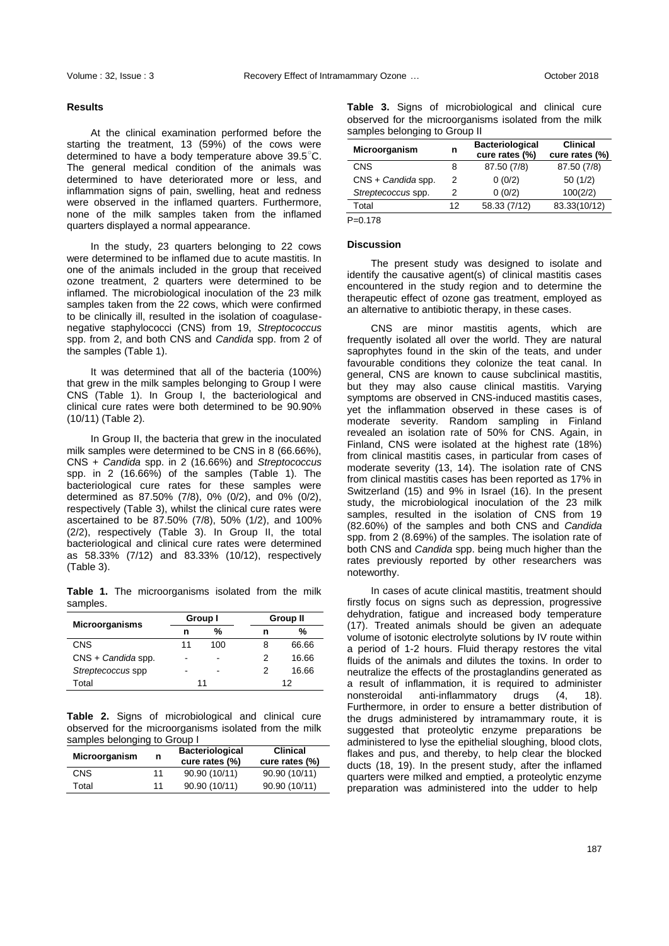## **Results**

At the clinical examination performed before the starting the treatment, 13 (59%) of the cows were determined to have a body temperature above 39.5○C. The general medical condition of the animals was determined to have deteriorated more or less, and inflammation signs of pain, swelling, heat and redness were observed in the inflamed quarters. Furthermore, none of the milk samples taken from the inflamed quarters displayed a normal appearance.

In the study, 23 quarters belonging to 22 cows were determined to be inflamed due to acute mastitis. In one of the animals included in the group that received ozone treatment, 2 quarters were determined to be inflamed. The microbiological inoculation of the 23 milk samples taken from the 22 cows, which were confirmed to be clinically ill, resulted in the isolation of coagulasenegative staphylococci (CNS) from 19, *Streptococcus*  spp. from 2, and both CNS and *Candida* spp. from 2 of the samples (Table 1).

It was determined that all of the bacteria (100%) that grew in the milk samples belonging to Group I were CNS (Table 1). In Group I, the bacteriological and clinical cure rates were both determined to be 90.90% (10/11) (Table 2).

In Group II, the bacteria that grew in the inoculated milk samples were determined to be CNS in 8 (66.66%), CNS + *Candida* spp. in 2 (16.66%) and *Streptococcus*  spp. in 2 (16.66%) of the samples (Table 1). The bacteriological cure rates for these samples were determined as 87.50% (7/8), 0% (0/2), and 0% (0/2), respectively (Table 3), whilst the clinical cure rates were ascertained to be 87.50% (7/8), 50% (1/2), and 100% (2/2), respectively (Table 3). In Group II, the total bacteriological and clinical cure rates were determined as 58.33% (7/12) and 83.33% (10/12), respectively (Table 3).

**Table 1.** The microorganisms isolated from the milk samples.

| <b>Microorganisms</b> |    | Group I | Group II |       |  |
|-----------------------|----|---------|----------|-------|--|
|                       | n  | %       | n        | %     |  |
| <b>CNS</b>            | 11 | 100     | 8        | 66.66 |  |
| $CNS + C$ andida spp. | -  |         | 2        | 16.66 |  |
| Streptecoccus spp     |    |         | 2        | 16.66 |  |
| Total                 | 11 |         | 12       |       |  |

**Table 2.** Signs of microbiological and clinical cure observed for the microorganisms isolated from the milk samples belonging to Group I

| <b>Microorganism</b> | n  | <b>Bacteriological</b><br>cure rates (%) | <b>Clinical</b><br>cure rates (%) |
|----------------------|----|------------------------------------------|-----------------------------------|
| <b>CNS</b>           | 11 | 90.90 (10/11)                            | 90.90 (10/11)                     |
| Total                | 11 | 90.90 (10/11)                            | 90.90 (10/11)                     |

|                               |  |  |  | <b>Table 3.</b> Signs of microbiological and clinical cure |  |  |  |  |
|-------------------------------|--|--|--|------------------------------------------------------------|--|--|--|--|
|                               |  |  |  | observed for the microorganisms isolated from the milk     |  |  |  |  |
| samples belonging to Group II |  |  |  |                                                            |  |  |  |  |

| Microorganism         | n  | <b>Bacteriological</b><br>cure rates (%) | <b>Clinical</b><br>cure rates (%) |
|-----------------------|----|------------------------------------------|-----------------------------------|
| <b>CNS</b>            | 8  | 87.50 (7/8)                              | 87.50 (7/8)                       |
| $CNS + C$ andida spp. | 2  | 0(0/2)                                   | 50(1/2)                           |
| Streptecoccus spp.    | 2  | 0(0/2)                                   | 100(2/2)                          |
| Total                 | 12 | 58.33 (7/12)                             | 83.33(10/12)                      |
|                       |    |                                          |                                   |

 $P=0.178$ 

#### **Discussion**

The present study was designed to isolate and identify the causative agent(s) of clinical mastitis cases encountered in the study region and to determine the therapeutic effect of ozone gas treatment, employed as an alternative to antibiotic therapy, in these cases.

CNS are minor mastitis agents, which are frequently isolated all over the world. They are natural saprophytes found in the skin of the teats, and under favourable conditions they colonize the teat canal. In general, CNS are known to cause subclinical mastitis, but they may also cause clinical mastitis. Varying symptoms are observed in CNS-induced mastitis cases, yet the inflammation observed in these cases is of moderate severity. Random sampling in Finland revealed an isolation rate of 50% for CNS. Again, in Finland, CNS were isolated at the highest rate (18%) from clinical mastitis cases, in particular from cases of moderate severity (13, 14). The isolation rate of CNS from clinical mastitis cases has been reported as 17% in Switzerland (15) and 9% in Israel (16). In the present study, the microbiological inoculation of the 23 milk samples, resulted in the isolation of CNS from 19 (82.60%) of the samples and both CNS and *Candida* spp. from 2 (8.69%) of the samples. The isolation rate of both CNS and *Candida* spp. being much higher than the rates previously reported by other researchers was noteworthy.

In cases of acute clinical mastitis, treatment should firstly focus on signs such as depression, progressive dehydration, fatigue and increased body temperature (17). Treated animals should be given an adequate volume of isotonic electrolyte solutions by IV route within a period of 1-2 hours. Fluid therapy restores the vital fluids of the animals and dilutes the toxins. In order to neutralize the effects of the prostaglandins generated as a result of inflammation, it is required to administer nonsteroidal anti-inflammatory drugs (4, 18). Furthermore, in order to ensure a better distribution of the drugs administered by intramammary route, it is suggested that proteolytic enzyme preparations be administered to lyse the epithelial sloughing, blood clots, flakes and pus, and thereby, to help clear the blocked ducts (18, 19). In the present study, after the inflamed quarters were milked and emptied, a proteolytic enzyme preparation was administered into the udder to help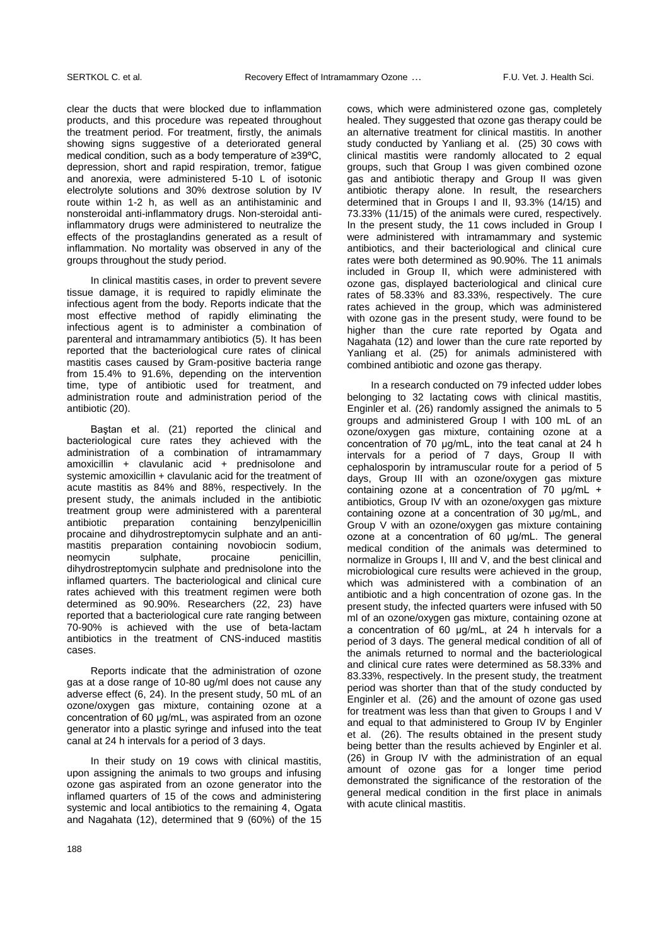clear the ducts that were blocked due to inflammation products, and this procedure was repeated throughout the treatment period. For treatment, firstly, the animals showing signs suggestive of a deteriorated general medical condition, such as a body temperature of ≥39ºC, depression, short and rapid respiration, tremor, fatigue and anorexia, were administered 5-10 L of isotonic electrolyte solutions and 30% dextrose solution by IV route within 1-2 h, as well as an antihistaminic and nonsteroidal anti-inflammatory drugs. Non-steroidal antiinflammatory drugs were administered to neutralize the effects of the prostaglandins generated as a result of inflammation. No mortality was observed in any of the groups throughout the study period.

In clinical mastitis cases, in order to prevent severe tissue damage, it is required to rapidly eliminate the infectious agent from the body. Reports indicate that the most effective method of rapidly eliminating the infectious agent is to administer a combination of parenteral and intramammary antibiotics (5). It has been reported that the bacteriological cure rates of clinical mastitis cases caused by Gram-positive bacteria range from 15.4% to 91.6%, depending on the intervention time, type of antibiotic used for treatment, and administration route and administration period of the antibiotic (20).

Baştan et al. (21) reported the clinical and bacteriological cure rates they achieved with the administration of a combination of intramammary amoxicillin + clavulanic acid + prednisolone and systemic amoxicillin + clavulanic acid for the treatment of acute mastitis as 84% and 88%, respectively. In the present study, the animals included in the antibiotic treatment group were administered with a parenteral antibiotic preparation containing benzylpenicillin procaine and dihydrostreptomycin sulphate and an antimastitis preparation containing novobiocin sodium,<br>neomycin sulphate, procaine penicillin, neomycin sulphate, procaine penicillin, dihydrostreptomycin sulphate and prednisolone into the inflamed quarters. The bacteriological and clinical cure rates achieved with this treatment regimen were both determined as 90.90%. Researchers (22, 23) have reported that a bacteriological cure rate ranging between 70-90% is achieved with the use of beta-lactam antibiotics in the treatment of CNS-induced mastitis cases.

Reports indicate that the administration of ozone gas at a dose range of 10-80 ug/ml does not cause any adverse effect (6, 24). In the present study, 50 mL of an ozone/oxygen gas mixture, containing ozone at a concentration of 60 μg/mL, was aspirated from an ozone generator into a plastic syringe and infused into the teat canal at 24 h intervals for a period of 3 days.

In their study on 19 cows with clinical mastitis, upon assigning the animals to two groups and infusing ozone gas aspirated from an ozone generator into the inflamed quarters of 15 of the cows and administering systemic and local antibiotics to the remaining 4, Ogata and Nagahata (12), determined that 9 (60%) of the 15 cows, which were administered ozone gas, completely healed. They suggested that ozone gas therapy could be an alternative treatment for clinical mastitis. In another study conducted by Yanliang et al. (25) 30 cows with clinical mastitis were randomly allocated to 2 equal groups, such that Group I was given combined ozone gas and antibiotic therapy and Group II was given antibiotic therapy alone. In result, the researchers determined that in Groups I and II, 93.3% (14/15) and 73.33% (11/15) of the animals were cured, respectively. In the present study, the 11 cows included in Group I were administered with intramammary and systemic antibiotics, and their bacteriological and clinical cure rates were both determined as 90.90%. The 11 animals included in Group II, which were administered with ozone gas, displayed bacteriological and clinical cure rates of 58.33% and 83.33%, respectively. The cure rates achieved in the group, which was administered with ozone gas in the present study, were found to be higher than the cure rate reported by Ogata and Nagahata (12) and lower than the cure rate reported by Yanliang et al. (25) for animals administered with combined antibiotic and ozone gas therapy.

In a research conducted on 79 infected udder lobes belonging to 32 lactating cows with clinical mastitis, Enginler et al. (26) randomly assigned the animals to 5 groups and administered Group I with 100 mL of an ozone/oxygen gas mixture, containing ozone at a concentration of 70 μg/mL, into the teat canal at 24 h intervals for a period of 7 days, Group II with cephalosporin by intramuscular route for a period of 5 days, Group III with an ozone/oxygen gas mixture containing ozone at a concentration of 70 μg/mL + antibiotics, Group IV with an ozone/oxygen gas mixture containing ozone at a concentration of 30 μg/mL, and Group V with an ozone/oxygen gas mixture containing ozone at a concentration of 60 μg/mL. The general medical condition of the animals was determined to normalize in Groups I, III and V, and the best clinical and microbiological cure results were achieved in the group, which was administered with a combination of an antibiotic and a high concentration of ozone gas. In the present study, the infected quarters were infused with 50 ml of an ozone/oxygen gas mixture, containing ozone at a concentration of 60 μg/mL, at 24 h intervals for a period of 3 days. The general medical condition of all of the animals returned to normal and the bacteriological and clinical cure rates were determined as 58.33% and 83.33%, respectively. In the present study, the treatment period was shorter than that of the study conducted by Enginler et al. (26) and the amount of ozone gas used for treatment was less than that given to Groups I and V and equal to that administered to Group IV by Enginler et al. (26). The results obtained in the present study being better than the results achieved by Enginler et al. (26) in Group IV with the administration of an equal amount of ozone gas for a longer time period demonstrated the significance of the restoration of the general medical condition in the first place in animals with acute clinical mastitis.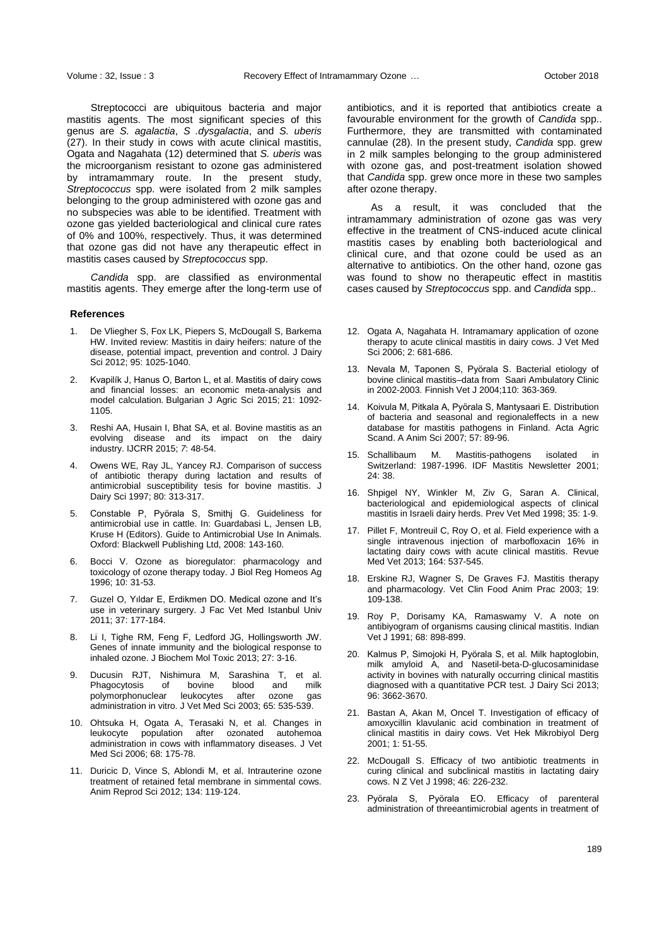Streptococci are ubiquitous bacteria and major mastitis agents. The most significant species of this genus are *S. agalactia*, *S .dysgalactia*, and *S. uberis* (27). In their study in cows with acute clinical mastitis, Ogata and Nagahata (12) determined that *S. uberis* was the microorganism resistant to ozone gas administered by intramammary route. In the present study, *Streptococcus* spp. were isolated from 2 milk samples belonging to the group administered with ozone gas and no subspecies was able to be identified. Treatment with ozone gas yielded bacteriological and clinical cure rates of 0% and 100%, respectively. Thus, it was determined that ozone gas did not have any therapeutic effect in mastitis cases caused by *Streptococcus* spp.

*Candida* spp. are classified as environmental mastitis agents. They emerge after the long-term use of

#### **References**

- 1. De Vliegher S, Fox LK, Piepers S, McDougall S, Barkema HW. Invited review: Mastitis in dairy heifers: nature of the disease, potential impact, prevention and control. J Dairy Sci 2012; 95: 1025-1040.
- 2. Kvapilík J, Hanus O, Barton L, et al. Mastitis of dairy cows and financial losses: an economic meta-analysis and model calculation. Bulgarian J Agric Sci 2015; 21: 1092- 1105.
- 3. Reshi AA, Husain I, Bhat SA, et al. Bovine mastitis as an evolving disease and its impact on the dairy industry. IJCRR 2015; *7*: 48-54.
- 4. Owens WE, Ray JL, Yancey RJ. Comparison of success of antibiotic therapy during lactation and results of antimicrobial susceptibility tesis for bovine mastitis. J Dairy Sci 1997; 80: 313-317.
- 5. Constable P, Pyörala S, Smithj G. Guideliness for antimicrobial use in cattle. In: Guardabasi L, Jensen LB, Kruse H (Editors). Guide to Antimicrobial Use In Animals. Oxford: Blackwell Publishing Ltd, 2008: 143-160.
- 6. Bocci V. Ozone as bioregulator: pharmacology and toxicology of ozone therapy today. J Biol Reg Homeos Ag 1996; 10: 31-53.
- 7. Guzel O, Yıldar E, Erdikmen DO. Medical ozone and It's use in veterinary surgery. J Fac Vet Med Istanbul Univ 2011; 37: 177-184.
- 8. Li I, Tighe RM, Feng F, Ledford JG, Hollingsworth JW. Genes of innate immunity and the biological response to inhaled ozone. J Biochem Mol Toxic 2013; 27: 3-16.
- Ducusin RJT, Nishimura M, Sarashina T, et al.<br>Phagocytosis of boyine blood and milk Phagocytosis polymorphonuclear leukocytes after ozone gas administration in vitro. J Vet Med Sci 2003; 65: 535-539.
- 10. Ohtsuka H, Ogata A, Terasaki N, et al. Changes in leukocyte population after ozonated autohemoa administration in cows with inflammatory diseases. J Vet Med Sci 2006; 68: 175-78.
- 11. Duricic D, Vince S, Ablondi M, et al. Intrauterine ozone treatment of retained fetal membrane in simmental cows. Anim Reprod Sci 2012; 134: 119-124.

antibiotics, and it is reported that antibiotics create a favourable environment for the growth of *Candida* spp.. Furthermore, they are transmitted with contaminated cannulae (28). In the present study, *Candida* spp. grew in 2 milk samples belonging to the group administered with ozone gas, and post-treatment isolation showed that *Candida* spp. grew once more in these two samples after ozone therapy.

As a result, it was concluded that the intramammary administration of ozone gas was very effective in the treatment of CNS-induced acute clinical mastitis cases by enabling both bacteriological and clinical cure, and that ozone could be used as an alternative to antibiotics. On the other hand, ozone gas was found to show no therapeutic effect in mastitis cases caused by *Streptococcus* spp. and *Candida* spp..

- 12. Ogata A, Nagahata H. Intramamary application of ozone therapy to acute clinical mastitis in dairy cows. J Vet Med Sci 2006; 2: 681-686.
- 13. Nevala M, Taponen S, Pyörala S. Bacterial etiology of bovine clinical mastitis–data from Saari Ambulatory Clinic in 2002-2003. Finnish Vet J 2004;110: 363-369.
- 14. Koivula M, Pitkala A, Pyörala S, Mantysaari E. Distribution of bacteria and seasonal and regionaleffects in a new database for mastitis pathogens in Finland. Acta Agric Scand. A Anim Sci 2007; 57: 89-96.
- 15. Schallibaum M. Mastitis-pathogens isolated in Switzerland: 1987-1996. IDF Mastitis Newsletter 2001; 24: 38.
- 16. Shpigel NY, Winkler M, Ziv G, Saran A. Clinical, bacteriological and epidemiological aspects of clinical mastitis in Israeli dairy herds. Prev Vet Med 1998; 35: 1-9.
- 17. Pillet F, Montreuil C, Roy O, et al. Field experience with a single intravenous injection of marbofloxacin 16% in lactating dairy cows with acute clinical mastitis. Revue Med Vet 2013; 164: 537-545.
- 18. Erskine RJ, Wagner S, De Graves FJ. Mastitis therapy and pharmacology. Vet Clin Food Anim Prac 2003; 19: 109-138.
- 19. Roy P, Dorisamy KA, Ramaswamy V. A note on antibiyogram of organisms causing clinical mastitis. Indian Vet J 1991; 68: 898-899.
- 20. Kalmus P, Simojoki H, Pyörala S, et al. Milk haptoglobin, milk amyloid A, and Nasetil-beta-D-glucosaminidase activity in bovines with naturally occurring clinical mastitis diagnosed with a quantitative PCR test. J Dairy Sci 2013; 96: 3662-3670.
- 21. Bastan A, Akan M, Oncel T. Investigation of efficacy of amoxycillin klavulanic acid combination in treatment of clinical mastitis in dairy cows. Vet Hek Mikrobiyol Derg 2001; 1: 51-55.
- 22. McDougall S. Efficacy of two antibiotic treatments in curing clinical and subclinical mastitis in lactating dairy cows. N Z Vet J 1998; 46: 226-232.
- 23. Pyörala S, Pyörala EO. Efficacy of parenteral administration of threeantimicrobial agents in treatment of